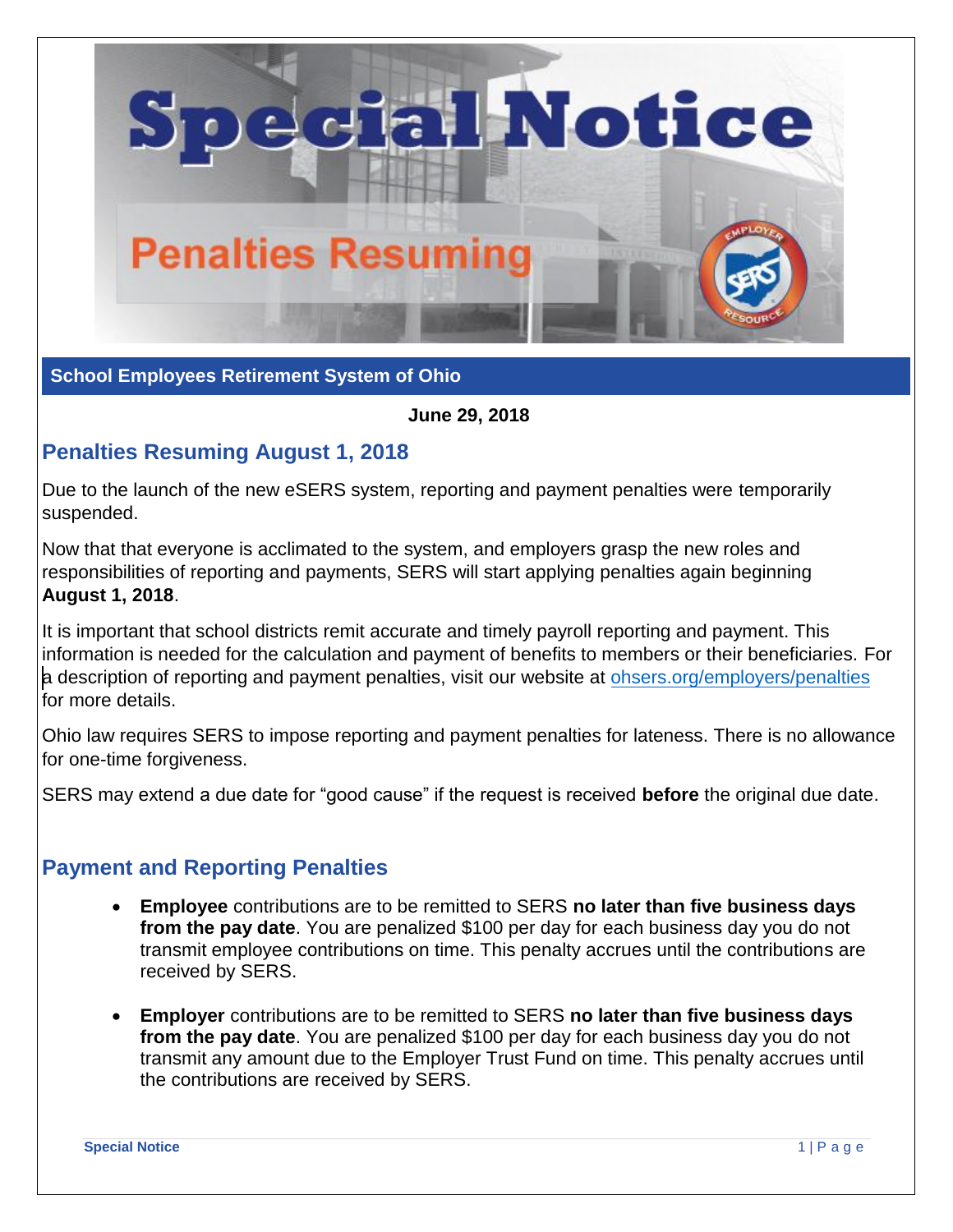

**School Employees Retirement System of Ohio**

**June 29, 2018** 

## **Penalties Resuming August 1, 2018**

Due to the launch of the new eSERS system, reporting and payment penalties were temporarily suspended.

Now that that everyone is acclimated to the system, and employers grasp the new roles and responsibilities of reporting and payments, SERS will start applying penalties again beginning **August 1, 2018**.

It is important that school districts remit accurate and timely payroll reporting and payment. This information is needed for the calculation and payment of benefits to members or their beneficiaries. For a description of reporting and payment penalties, visit our website at o[hsers.org/employers/penalties](http://www.ohsers.org/employers/penalties) for more details.

Ohio law requires SERS to impose reporting and payment penalties for lateness. There is no allowance for one-time forgiveness.

SERS may extend a due date for "good cause" if the request is received **before** the original due date.

## **Payment and Reporting Penalties**

- **Employee** contributions are to be remitted to SERS **no later than five business days from the pay date**. You are penalized \$100 per day for each business day you do not transmit employee contributions on time. This penalty accrues until the contributions are received by SERS.
- **Employer** contributions are to be remitted to SERS **no later than five business days from the pay date**. You are penalized \$100 per day for each business day you do not transmit any amount due to the Employer Trust Fund on time. This penalty accrues until the contributions are received by SERS.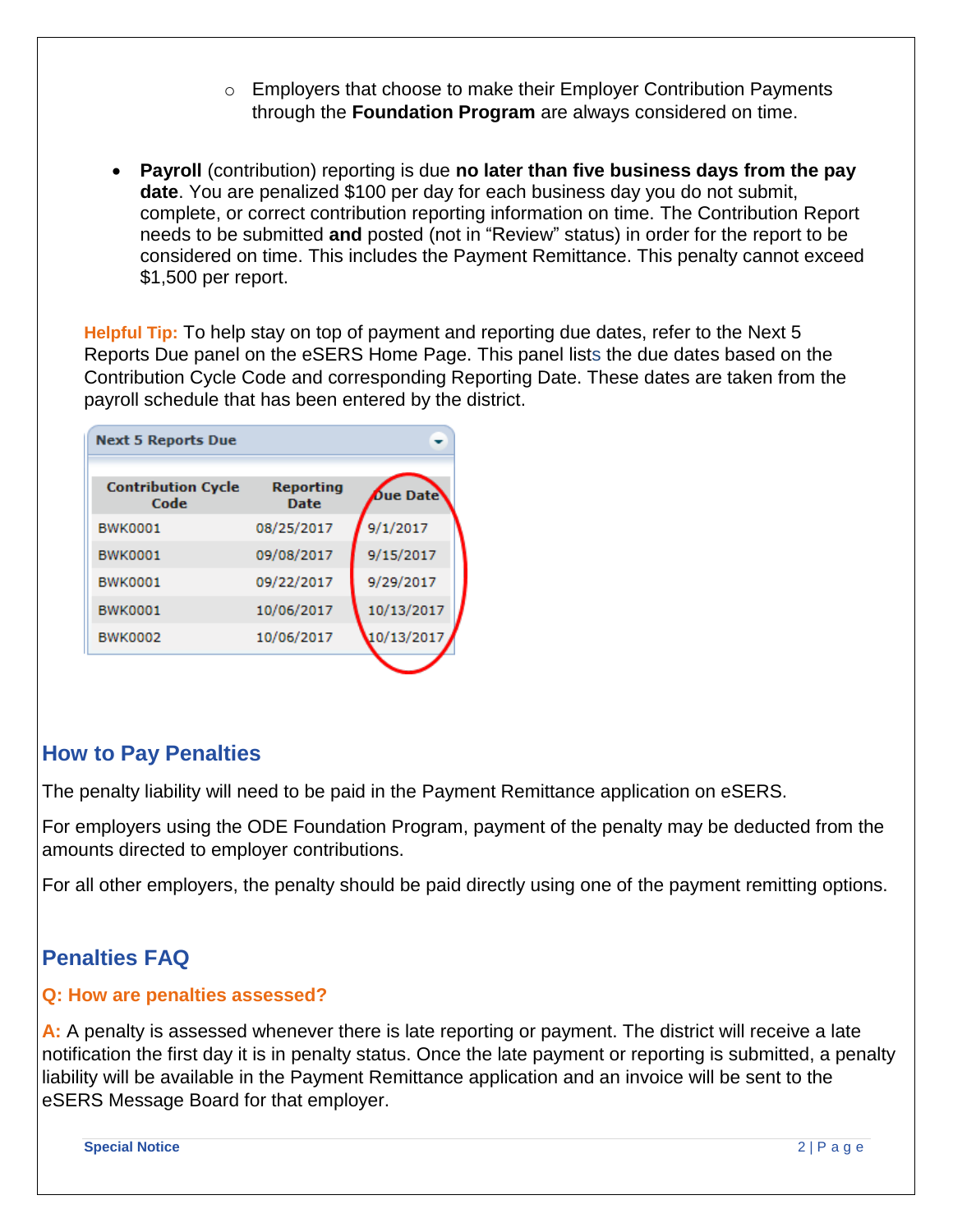- o Employers that choose to make their Employer Contribution Payments through the **Foundation Program** are always considered on time.
- **Payroll** (contribution) reporting is due **no later than five business days from the pay date**. You are penalized \$100 per day for each business day you do not submit, complete, or correct contribution reporting information on time. The Contribution Report needs to be submitted **and** posted (not in "Review" status) in order for the report to be considered on time. This includes the Payment Remittance. This penalty cannot exceed \$1,500 per report.

**Helpful Tip:** To help stay on top of payment and reporting due dates, refer to the Next 5 Reports Due panel on the eSERS Home Page. This panel lists the due dates based on the Contribution Cycle Code and corresponding Reporting Date. These dates are taken from the payroll schedule that has been entered by the district.

| <b>Next 5 Reports Due</b>         |                                 |                 |
|-----------------------------------|---------------------------------|-----------------|
| <b>Contribution Cycle</b><br>Code | <b>Reporting</b><br><b>Date</b> | <b>Due Date</b> |
| <b>BWK0001</b>                    | 08/25/2017                      | 9/1/2017        |
| <b>BWK0001</b>                    | 09/08/2017                      | 9/15/2017       |
| <b>BWK0001</b>                    | 09/22/2017                      | 9/29/2017       |
| <b>BWK0001</b>                    | 10/06/2017                      | 10/13/2017      |
| <b>BWK0002</b>                    | 10/06/2017                      | 10/13/2017      |
|                                   |                                 |                 |

## **How to Pay Penalties**

The penalty liability will need to be paid in the Payment Remittance application on eSERS.

For employers using the ODE Foundation Program, payment of the penalty may be deducted from the amounts directed to employer contributions.

For all other employers, the penalty should be paid directly using one of the payment remitting options.

# **Penalties FAQ**

#### **Q: How are penalties assessed?**

**A:** A penalty is assessed whenever there is late reporting or payment. The district will receive a late notification the first day it is in penalty status. Once the late payment or reporting is submitted, a penalty liability will be available in the Payment Remittance application and an invoice will be sent to the eSERS Message Board for that employer.

**Special Notice** 2 | P a g e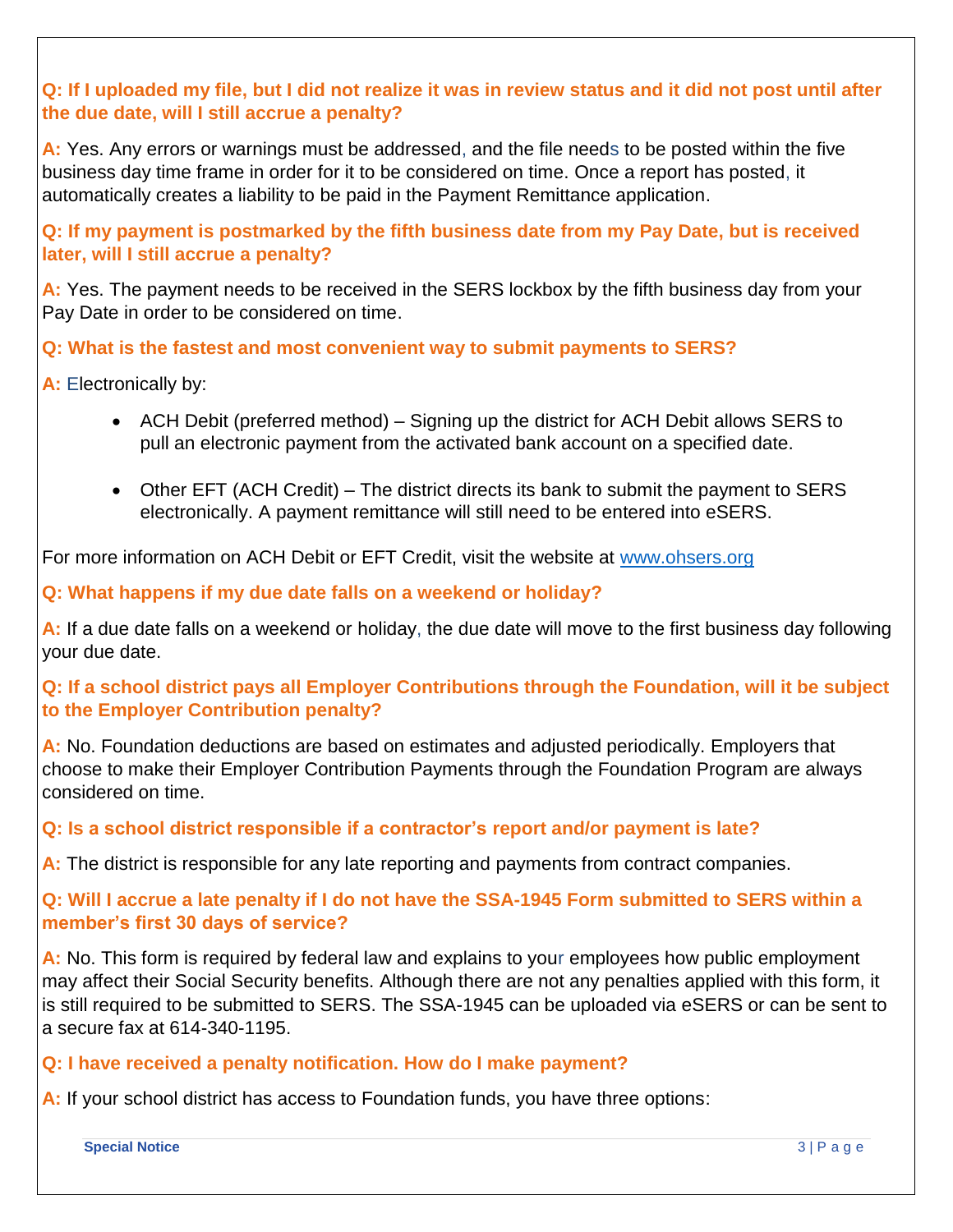**Q: If I uploaded my file, but I did not realize it was in review status and it did not post until after the due date, will I still accrue a penalty?** 

**A:** Yes. Any errors or warnings must be addressed, and the file needs to be posted within the five business day time frame in order for it to be considered on time. Once a report has posted, it automatically creates a liability to be paid in the Payment Remittance application.

**Q: If my payment is postmarked by the fifth business date from my Pay Date, but is received later, will I still accrue a penalty?** 

A: Yes. The payment needs to be received in the SERS lockbox by the fifth business day from your Pay Date in order to be considered on time.

**Q: What is the fastest and most convenient way to submit payments to SERS?**

**A:** Electronically by:

- ACH Debit (preferred method) Signing up the district for ACH Debit allows SERS to pull an electronic payment from the activated bank account on a specified date.
- Other EFT (ACH Credit) The district directs its bank to submit the payment to SERS electronically. A payment remittance will still need to be entered into eSERS.

For more information on ACH Debit or EFT Credit, visit the website at [www.ohsers.org](http://www.ohsers.org/)

**Q: What happens if my due date falls on a weekend or holiday?** 

**A:** If a due date falls on a weekend or holiday, the due date will move to the first business day following your due date.

**Q: If a school district pays all Employer Contributions through the Foundation, will it be subject to the Employer Contribution penalty?** 

**A:** No. Foundation deductions are based on estimates and adjusted periodically. Employers that choose to make their Employer Contribution Payments through the Foundation Program are always considered on time.

**Q: Is a school district responsible if a contractor's report and/or payment is late?** 

A: The district is responsible for any late reporting and payments from contract companies.

**Q: Will I accrue a late penalty if I do not have the SSA-1945 Form submitted to SERS within a member's first 30 days of service?** 

**A:** No. This form is required by federal law and explains to your employees how public employment may affect their Social Security benefits. Although there are not any penalties applied with this form, it is still required to be submitted to SERS. The SSA-1945 can be uploaded via eSERS or can be sent to a secure fax at 614-340-1195.

#### **Q: I have received a penalty notification. How do I make payment?**

**A:** If your school district has access to Foundation funds, you have three options:

**Special Notice** 3 | P a g e